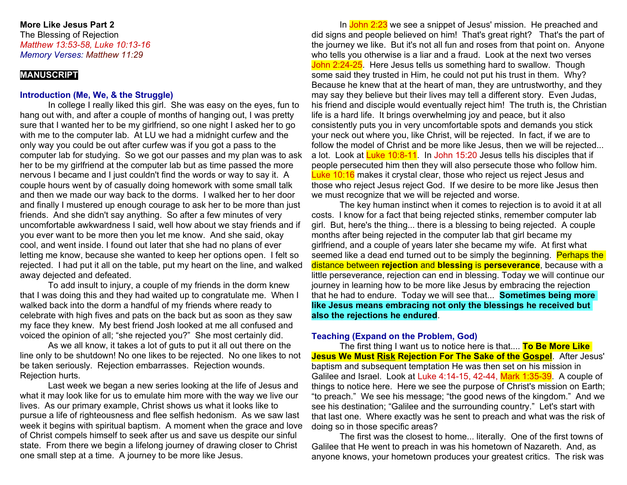## **More Like Jesus Part 2**

The Blessing of Rejection *Matthew 13:53-58, Luke 10:13-16 Memory Verses: Matthew 11:29*

## **MANUSCRIPT**

## **Introduction (Me, We, & the Struggle)**

In college I really liked this girl. She was easy on the eyes, fun to hang out with, and after a couple of months of hanging out, I was pretty sure that I wanted her to be my girlfriend, so one night I asked her to go with me to the computer lab. At LU we had a midnight curfew and the only way you could be out after curfew was if you got a pass to the computer lab for studying. So we got our passes and my plan was to ask her to be my girlfriend at the computer lab but as time passed the more nervous I became and I just couldn't find the words or way to say it. A couple hours went by of casually doing homework with some small talk and then we made our way back to the dorms. I walked her to her door and finally I mustered up enough courage to ask her to be more than just friends. And she didn't say anything. So after a few minutes of very uncomfortable awkwardness I said, well how about we stay friends and if you ever want to be more then you let me know. And she said, okay cool, and went inside. I found out later that she had no plans of ever letting me know, because she wanted to keep her options open. I felt so rejected. I had put it all on the table, put my heart on the line, and walked away dejected and defeated.

To add insult to injury, a couple of my friends in the dorm knew that I was doing this and they had waited up to congratulate me. When I walked back into the dorm a handful of my friends where ready to celebrate with high fives and pats on the back but as soon as they saw my face they knew. My best friend Josh looked at me all confused and voiced the opinion of all; "she rejected you?" She most certainly did.

As we all know, it takes a lot of guts to put it all out there on the line only to be shutdown! No one likes to be rejected. No one likes to not be taken seriously. Rejection embarrasses. Rejection wounds. Rejection hurts.

Last week we began a new series looking at the life of Jesus and what it may look like for us to emulate him more with the way we live our lives. As our primary example, Christ shows us what it looks like to pursue a life of righteousness and flee selfish hedonism. As we saw last week it begins with spiritual baptism. A moment when the grace and love of Christ compels himself to seek after us and save us despite our sinful state. From there we begin a lifelong journey of drawing closer to Christ one small step at a time. A journey to be more like Jesus.

In John 2:23 we see a snippet of Jesus' mission. He preached and did signs and people believed on him! That's great right? That's the part of the journey we like. But it's not all fun and roses from that point on. Anyone who tells you otherwise is a liar and a fraud. Look at the next two verses John 2:24-25. Here Jesus tells us something hard to swallow. Though some said they trusted in Him, he could not put his trust in them. Why? Because he knew that at the heart of man, they are untrustworthy, and they may say they believe but their lives may tell a different story. Even Judas, his friend and disciple would eventually reject him! The truth is, the Christian life is a hard life. It brings overwhelming joy and peace, but it also consistently puts you in very uncomfortable spots and demands you stick your neck out where you, like Christ, will be rejected. In fact, if we are to follow the model of Christ and be more like Jesus, then we will be rejected... a lot. Look at Luke 10:8-11. In John 15:20 Jesus tells his disciples that if people persecuted him then they will also persecute those who follow him. Luke 10:16 makes it crystal clear, those who reject us reject Jesus and those who reject Jesus reject God. If we desire to be more like Jesus then we must recognize that we will be rejected and worse.

The key human instinct when it comes to rejection is to avoid it at all costs. I know for a fact that being rejected stinks, remember computer lab girl. But, here's the thing... there is a blessing to being rejected. A couple months after being rejected in the computer lab that girl became my girlfriend, and a couple of years later she became my wife. At first what seemed like a dead end turned out to be simply the beginning. Perhaps the distance between **rejection** and **blessing** is **perseverance**, because with a little perseverance, rejection can end in blessing. Today we will continue our journey in learning how to be more like Jesus by embracing the rejection that he had to endure. Today we will see that... **Sometimes being more like Jesus means embracing not only the blessings he received but also the rejections he endured**.

# **Teaching (Expand on the Problem, God)**

The first thing I want us to notice here is that.... **To Be More Like Jesus We Must Risk Rejection For The Sake of the Gospel**. After Jesus' baptism and subsequent temptation He was then set on his mission in Galilee and Israel. Look at Luke 4:14-15, 42-44, Mark 1:35-39. A couple of things to notice here. Here we see the purpose of Christ's mission on Earth; "to preach." We see his message; "the good news of the kingdom." And we see his destination; "Galilee and the surrounding country." Let's start with that last one. Where exactly was he sent to preach and what was the risk of doing so in those specific areas?

The first was the closest to home... literally. One of the first towns of Galilee that He went to preach in was his hometown of Nazareth. And, as anyone knows, your hometown produces your greatest critics. The risk was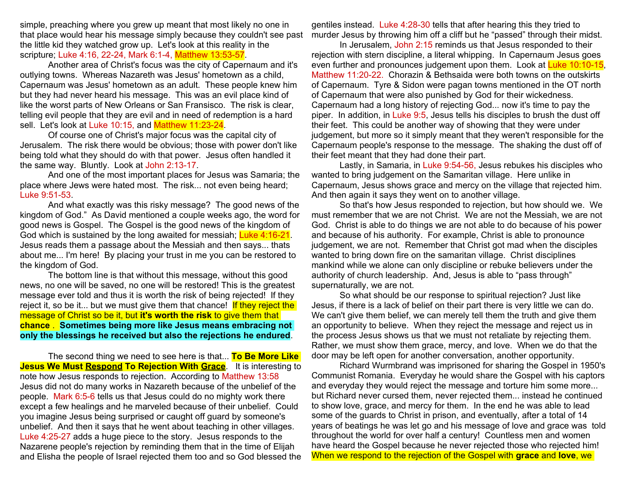simple, preaching where you grew up meant that most likely no one in that place would hear his message simply because they couldn't see past the little kid they watched grow up. Let's look at this reality in the scripture; Luke 4:16, 22-24, Mark 6:1-4, Matthew 13:53-57.

Another area of Christ's focus was the city of Capernaum and it's outlying towns. Whereas Nazareth was Jesus' hometown as a child, Capernaum was Jesus' hometown as an adult. These people knew him but they had never heard his message. This was an evil place kind of like the worst parts of New Orleans or San Fransisco. The risk is clear, telling evil people that they are evil and in need of redemption is a hard sell. Let's look at Luke 10:15, and Matthew 11:23-24.

Of course one of Christ's major focus was the capital city of Jerusalem. The risk there would be obvious; those with power don't like being told what they should do with that power. Jesus often handled it the same way. Bluntly. Look at John 2:13-17.

And one of the most important places for Jesus was Samaria; the place where Jews were hated most. The risk... not even being heard; Luke 9:51-53.

And what exactly was this risky message? The good news of the kingdom of God." As David mentioned a couple weeks ago, the word for good news is Gospel. The Gospel is the good news of the kingdom of God which is sustained by the long awaited for messiah; Luke 4:16-21. Jesus reads them a passage about the Messiah and then says... thats about me... I'm here! By placing your trust in me you can be restored to the kingdom of God.

The bottom line is that without this message, without this good news, no one will be saved, no one will be restored! This is the greatest message ever told and thus it is worth the risk of being rejected! If they reject it, so be it... but we must give them that chance! If they reject the message of Christ so be it, but **it's worth the risk** to give them that **chance** . **Sometimes being more like Jesus means embracing not only the blessings he received but also the rejections he endured**.

The second thing we need to see here is that... **To Be More Like Jesus We Must Respond To Rejection With Grace.** It is interesting to note how Jesus responds to rejection. According to Matthew 13:58 Jesus did not do many works in Nazareth because of the unbelief of the people. Mark 6:5-6 tells us that Jesus could do no mighty work there except a few healings and he marveled because of their unbelief. Could you imagine Jesus being surprised or caught off guard by someone's unbelief. And then it says that he went about teaching in other villages. Luke 4:25-27 adds a huge piece to the story. Jesus responds to the Nazarene people's rejection by reminding them that in the time of Elijah and Elisha the people of Israel rejected them too and so God blessed the

gentiles instead. Luke 4:28-30 tells that after hearing this they tried to murder Jesus by throwing him off a cliff but he "passed" through their midst.

In Jerusalem, John 2:15 reminds us that Jesus responded to their rejection with stern discipline, a literal whipping. In Capernaum Jesus goes even further and pronounces judgement upon them. Look at Luke 10:10-15, Matthew 11:20-22. Chorazin & Bethsaida were both towns on the outskirts of Capernaum. Tyre & Sidon were pagan towns mentioned in the OT north of Capernaum that were also punished by God for their wickedness. Capernaum had a long history of rejecting God... now it's time to pay the piper. In addition, in Luke 9:5, Jesus tells his disciples to brush the dust off their feet. This could be another way of showing that they were under judgement, but more so it simply meant that they weren't responsible for the Capernaum people's response to the message. The shaking the dust off of their feet meant that they had done their part.

Lastly, in Samaria, in Luke 9:54-56, Jesus rebukes his disciples who wanted to bring judgement on the Samaritan village. Here unlike in Capernaum, Jesus shows grace and mercy on the village that rejected him. And then again it says they went on to another village.

So that's how Jesus responded to rejection, but how should we. We must remember that we are not Christ. We are not the Messiah, we are not God. Christ is able to do things we are not able to do because of his power and because of his authority. For example, Christ is able to pronounce judgement, we are not. Remember that Christ got mad when the disciples wanted to bring down fire on the samaritan village. Christ disciplines mankind while we alone can only discipline or rebuke believers under the authority of church leadership. And, Jesus is able to "pass through" supernaturally, we are not.

So what should be our response to spiritual rejection? Just like Jesus, if there is a lack of belief on their part there is very little we can do. We can't give them belief, we can merely tell them the truth and give them an opportunity to believe. When they reject the message and reject us in the process Jesus shows us that we must not retaliate by rejecting them. Rather, we must show them grace, mercy, and love. When we do that the door may be left open for another conversation, another opportunity.

Richard Wurmbrand was imprisoned for sharing the Gospel in 1950's Communist Romania. Everyday he would share the Gospel with his captors and everyday they would reject the message and torture him some more... but Richard never cursed them, never rejected them... instead he continued to show love, grace, and mercy for them. In the end he was able to lead some of the guards to Christ in prison, and eventually, after a total of 14 years of beatings he was let go and his message of love and grace was told throughout the world for over half a century! Countless men and women have heard the Gospel because he never rejected those who rejected him! When we respond to the rejection of the Gospel with **grace** and **love**, we